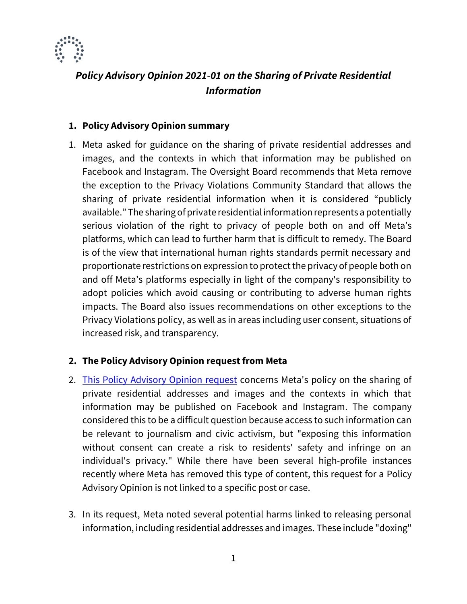

# *Policy Advisory Opinion 2021-01 on the Sharing of Private Residential Information*

## **1. Policy Advisory Opinion summary**

1. Meta asked for guidance on the sharing of private residential addresses and images, and the contexts in which that information may be published on Facebook and Instagram. The Oversight Board recommends that Meta remove the exception to the Privacy Violations Community Standard that allows the sharing of private residential information when it is considered "publicly available." The sharing of private residential information represents a potentially serious violation of the right to privacy of people both on and off Meta's platforms, which can lead to further harm that is difficult to remedy. The Board is of the view that international human rights standards permit necessary and proportionate restrictions on expression to protect the privacy of people both on and off Meta's platforms especially in light of the company's responsibility to adopt policies which avoid causing or contributing to adverse human rights impacts. The Board also issues recommendations on other exceptions to the Privacy Violations policy, as well as in areas including user consent, situations of increased risk, and transparency.

## **2. The Policy Advisory Opinion request from Meta**

- 2. [This Policy Advisory Opinion request](https://oversightboard.com/attachment/1585893001787727/) concerns Meta's policy on the sharing of private residential addresses and images and the contexts in which that information may be published on Facebook and Instagram. The company considered this to be a difficult question because access to such information can be relevant to journalism and civic activism, but "exposing this information without consent can create a risk to residents' safety and infringe on an individual's privacy." While there have been several high-profile instances recently where Meta has removed this type of content, this request for a Policy Advisory Opinion is not linked to a specific post or case.
- 3. In its request, Meta noted several potential harms linked to releasing personal information, including residential addresses and images. These include "doxing"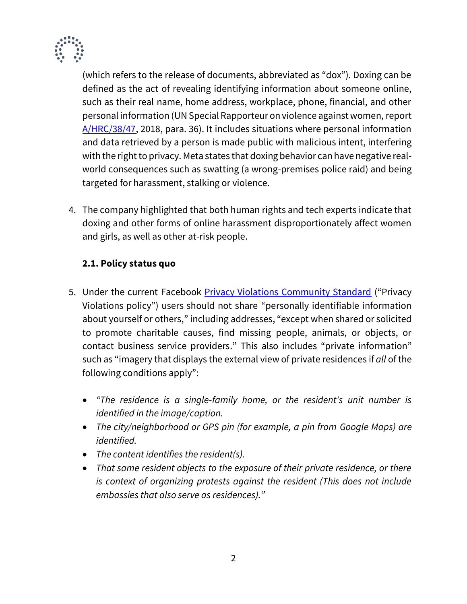

(which refers to the release of documents, abbreviated as "dox"). Doxing can be defined as the act of revealing identifying information about someone online, such as their real name, home address, workplace, phone, financial, and other personal information (UN Special Rapporteur on violence against women, report [A/HRC/38/47,](https://undocs.org/en/A/HRC/38/47) 2018, para. 36). It includes situations where personal information and data retrieved by a person is made public with malicious intent, interfering with the right to privacy. Meta states that doxing behavior can have negative realworld consequences such as swatting (a wrong-premises police raid) and being targeted for harassment, stalking or violence.

4. The company highlighted that both human rights and tech experts indicate that doxing and other forms of online harassment disproportionately affect women and girls, as well as other at-risk people.

## **2.1. Policy status quo**

- 5. Under the current Facebook [Privacy Violations Community Standard](https://transparency.fb.com/policies/community-standards/privacy-violations-image-privacy-rights/) ("Privacy Violations policy") users should not share "personally identifiable information about yourself or others," including addresses, "except when shared or solicited to promote charitable causes, find missing people, animals, or objects, or contact business service providers." This also includes "private information" such as "imagery that displays the external view of private residences if *all* of the following conditions apply":
	- *"The residence is a single-family home, or the resident's unit number is identified in the image/caption.*
	- *The city/neighborhood or GPS pin (for example, a pin from Google Maps) are identified.*
	- *The content identifies the resident(s).*
	- *That same resident objects to the exposure of their private residence, or there is context of organizing protests against the resident (This does not include embassies that also serve as residences)."*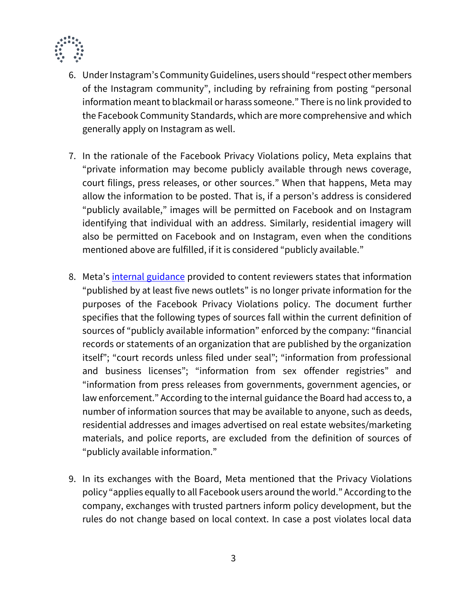

- 6. Under Instagram's Community Guidelines, users should "respect other members of the Instagram community", including by refraining from posting "personal information meant to blackmail or harass someone." There is no link provided to the Facebook Community Standards, which are more comprehensive and which generally apply on Instagram as well.
- 7. In the rationale of the Facebook Privacy Violations policy, Meta explains that "private information may become publicly available through news coverage, court filings, press releases, or other sources." When that happens, Meta may allow the information to be posted. That is, if a person's address is considered "publicly available," images will be permitted on Facebook and on Instagram identifying that individual with an address. Similarly, residential imagery will also be permitted on Facebook and on Instagram, even when the conditions mentioned above are fulfilled, if it is considered "publicly available."
- 8. Meta's [internal guidance](https://oversightboard.com/attachment/3397065403885032/) provided to content reviewers states that information "published by at least five news outlets" is no longer private information for the purposes of the Facebook Privacy Violations policy. The document further specifies that the following types of sources fall within the current definition of sources of "publicly available information" enforced by the company: "financial records or statements of an organization that are published by the organization itself"; "court records unless filed under seal"; "information from professional and business licenses"; "information from sex offender registries" and "information from press releases from governments, government agencies, or law enforcement." According to the internal guidance the Board had access to, a number of information sources that may be available to anyone, such as deeds, residential addresses and images advertised on real estate websites/marketing materials, and police reports, are excluded from the definition of sources of "publicly available information."
- 9. In its exchanges with the Board, Meta mentioned that the Privacy Violations policy "applies equally to all Facebook users around the world." According to the company, exchanges with trusted partners inform policy development, but the rules do not change based on local context. In case a post violates local data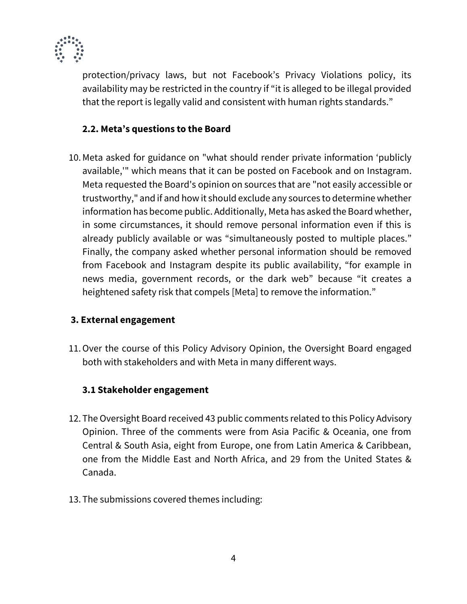

protection/privacy laws, but not Facebook's Privacy Violations policy, its availability may be restricted in the country if "it is alleged to be illegal provided that the report is legally valid and consistent with human rights standards."

## **2.2. Meta's questions to the Board**

10.Meta asked for guidance on "what should render private information 'publicly available,'" which means that it can be posted on Facebook and on Instagram. Meta requested the Board's opinion on sources that are "not easily accessible or trustworthy," and if and how it should exclude any sources to determine whether information has become public. Additionally, Meta has asked the Board whether, in some circumstances, it should remove personal information even if this is already publicly available or was "simultaneously posted to multiple places." Finally, the company asked whether personal information should be removed from Facebook and Instagram despite its public availability, "for example in news media, government records, or the dark web" because "it creates a heightened safety risk that compels [Meta] to remove the information."

## **3. External engagement**

11.Over the course of this Policy Advisory Opinion, the Oversight Board engaged both with stakeholders and with Meta in many different ways.

## **3.1 Stakeholder engagement**

- 12. The Oversight Board received 43 public comments related to this Policy Advisory Opinion. Three of the comments were from Asia Pacific & Oceania, one from Central & South Asia, eight from Europe, one from Latin America & Caribbean, one from the Middle East and North Africa, and 29 from the United States & Canada.
- 13. The submissions covered themes including: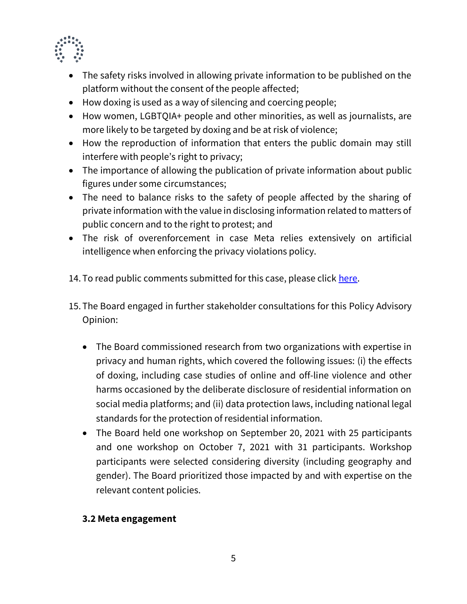

- The safety risks involved in allowing private information to be published on the platform without the consent of the people affected;
- How doxing is used as a way of silencing and coercing people;
- How women, LGBTQIA+ people and other minorities, as well as journalists, are more likely to be targeted by doxing and be at risk of violence;
- How the reproduction of information that enters the public domain may still interfere with people's right to privacy;
- The importance of allowing the publication of private information about public figures under some circumstances;
- The need to balance risks to the safety of people affected by the sharing of private information with the value in disclosing information related to matters of public concern and to the right to protest; and
- The risk of overenforcement in case Meta relies extensively on artificial intelligence when enforcing the privacy violations policy.
- 14. To read public comments submitted for this case, please click [here.](https://oversightboard.com/attachment/414420530486456/)
- 15. The Board engaged in further stakeholder consultations for this Policy Advisory Opinion:
	- The Board commissioned research from two organizations with expertise in privacy and human rights, which covered the following issues: (i) the effects of doxing, including case studies of online and off-line violence and other harms occasioned by the deliberate disclosure of residential information on social media platforms; and (ii) data protection laws, including national legal standards for the protection of residential information.
	- The Board held one workshop on September 20, 2021 with 25 participants and one workshop on October 7, 2021 with 31 participants. Workshop participants were selected considering diversity (including geography and gender). The Board prioritized those impacted by and with expertise on the relevant content policies.

## **3.2 Meta engagement**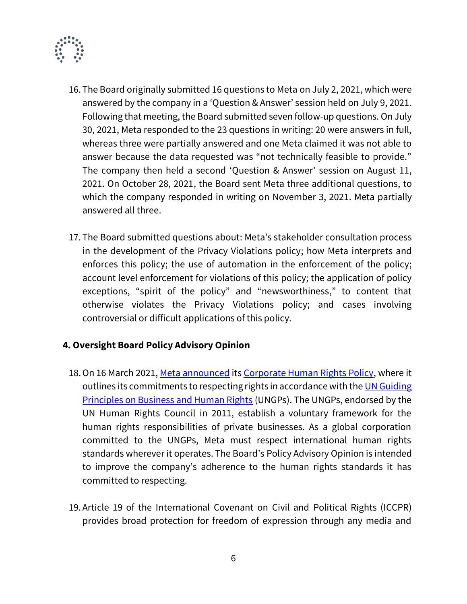

- 16. The Board originally submitted 16 questions to Meta on July 2, 2021, which were answered by the company in a 'Question & Answer' session held on July 9, 2021. Following that meeting, the Board submitted seven follow-up questions. On July 30, 2021, Meta responded to the 23 questions in writing: 20 were answers in full, whereas three were partially answered and one Meta claimed it was not able to answer because the data requested was "not technically feasible to provide." The company then held a second 'Question & Answer' session on August 11, 2021. On October 28, 2021, the Board sent Meta three additional questions, to which the company responded in writing on November 3, 2021. Meta partially answered all three.
- 17. The Board submitted questions about: Meta's stakeholder consultation process in the development of the Privacy Violations policy; how Meta interprets and enforces this policy; the use of automation in the enforcement of the policy; account level enforcement for violations of this policy; the application of policy exceptions, "spirit of the policy" and "newsworthiness," to content that otherwise violates the Privacy Violations policy; and cases involving controversial or difficult applications of this policy.

## **4. Oversight Board Policy Advisory Opinion**

- 18. On 16 March 2021, [Meta announced](https://about.fb.com/news/2021/03/our-commitment-to-human-rights/) it[s Corporate Human Rights Policy,](https://about.fb.com/wp-content/uploads/2021/03/Facebooks-Corporate-Human-Rights-Policy.pdf) where it outlines its commitments to respecting rights in accordance with the UN Guiding **[Principles on Business and Human Rights](https://www.ohchr.org/documents/publications/guidingprinciplesbusinesshr_en.pdf) (UNGPs). The UNGPs, endorsed by the** UN Human Rights Council in 2011, establish a voluntary framework for the human rights responsibilities of private businesses. As a global corporation committed to the UNGPs, Meta must respect international human rights standards wherever it operates. The Board's Policy Advisory Opinion is intended to improve the company's adherence to the human rights standards it has committed to respecting.
- 19.Article 19 of the International Covenant on Civil and Political Rights (ICCPR) provides broad protection for freedom of expression through any media and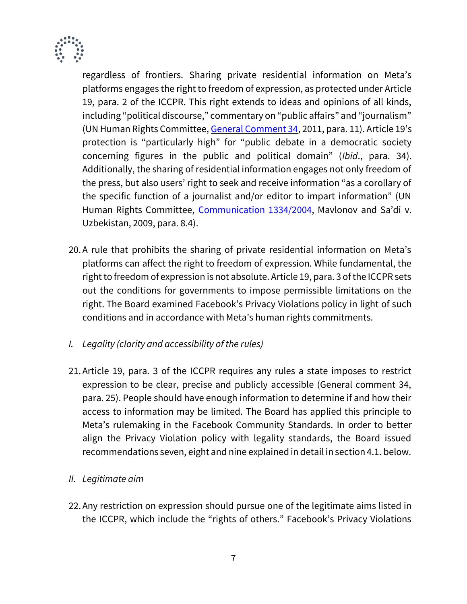

regardless of frontiers. Sharing private residential information on Meta's platforms engages the right to freedom of expression, as protected under Article 19, para. 2 of the ICCPR. This right extends to ideas and opinions of all kinds, including "political discourse," commentary on "public affairs" and "journalism" (UN Human Rights Committee[, General Comment 34,](https://undocs.org/CCPR/C/GC/34) 2011, para. 11). Article 19's protection is "particularly high" for "public debate in a democratic society concerning figures in the public and political domain" (*Ibid*., para. 34). Additionally, the sharing of residential information engages not only freedom of the press, but also users' right to seek and receive information "as a corollary of the specific function of a journalist and/or editor to impart information" (UN Human Rights Committee, [Communication 1334/2004](https://juris.ohchr.org/Search/Details/1486), Mavlonov and Sa'di v. Uzbekistan, 2009, para. 8.4).

- 20.A rule that prohibits the sharing of private residential information on Meta's platforms can affect the right to freedom of expression. While fundamental, the right to freedom of expression is not absolute. Article 19, para. 3 of the ICCPR sets out the conditions for governments to impose permissible limitations on the right. The Board examined Facebook's Privacy Violations policy in light of such conditions and in accordance with Meta's human rights commitments.
- *I. Legality (clarity and accessibility of the rules)*
- 21.Article 19, para. 3 of the ICCPR requires any rules a state imposes to restrict expression to be clear, precise and publicly accessible (General comment 34, para. 25). People should have enough information to determine if and how their access to information may be limited. The Board has applied this principle to Meta's rulemaking in the Facebook Community Standards. In order to better align the Privacy Violation policy with legality standards, the Board issued recommendations seven, eight and nine explained in detail in section 4.1. below.
- *II. Legitimate aim*
- 22.Any restriction on expression should pursue one of the legitimate aims listed in the ICCPR, which include the "rights of others." Facebook's Privacy Violations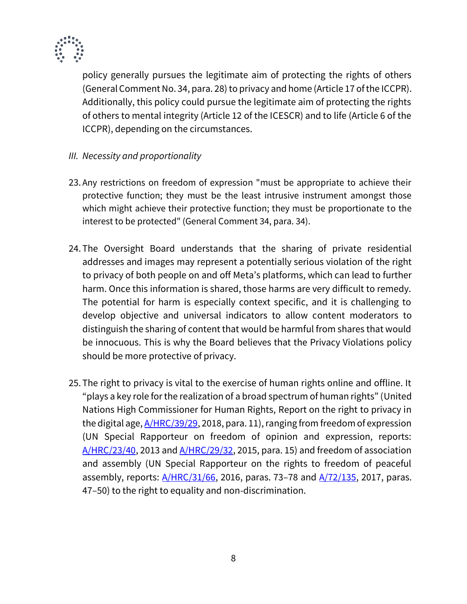

policy generally pursues the legitimate aim of protecting the rights of others (General Comment No. 34, para. 28) to privacy and home (Article 17 of the ICCPR). Additionally, this policy could pursue the legitimate aim of protecting the rights of others to mental integrity (Article 12 of the ICESCR) and to life (Article 6 of the ICCPR), depending on the circumstances.

- *III. Necessity and proportionality*
- 23. Any restrictions on freedom of expression "must be appropriate to achieve their protective function; they must be the least intrusive instrument amongst those which might achieve their protective function; they must be proportionate to the interest to be protected" (General Comment 34, para. 34).
- 24. The Oversight Board understands that the sharing of private residential addresses and images may represent a potentially serious violation of the right to privacy of both people on and off Meta's platforms, which can lead to further harm. Once this information is shared, those harms are very difficult to remedy. The potential for harm is especially context specific, and it is challenging to develop objective and universal indicators to allow content moderators to distinguish the sharing of content that would be harmful from shares that would be innocuous. This is why the Board believes that the Privacy Violations policy should be more protective of privacy.
- 25. The right to privacy is vital to the exercise of human rights online and offline. It "plays a key role for the realization of a broad spectrum of human rights" (United Nations High Commissioner for Human Rights, Report on the right to privacy in the digital age,  $A/HRC/39/29$ , 2018, para. 11), ranging from freedom of expression (UN Special Rapporteur on freedom of opinion and expression, reports:  $A/HRC/23/40$ , 2013 and  $A/HRC/29/32$ , 2015, para. 15) and freedom of association and assembly (UN Special Rapporteur on the rights to freedom of peaceful assembly, reports:  $A/HRC/31/66$ , 2016, paras. 73–78 and  $A/72/135$ , 2017, paras. 47–50) to the right to equality and non-discrimination.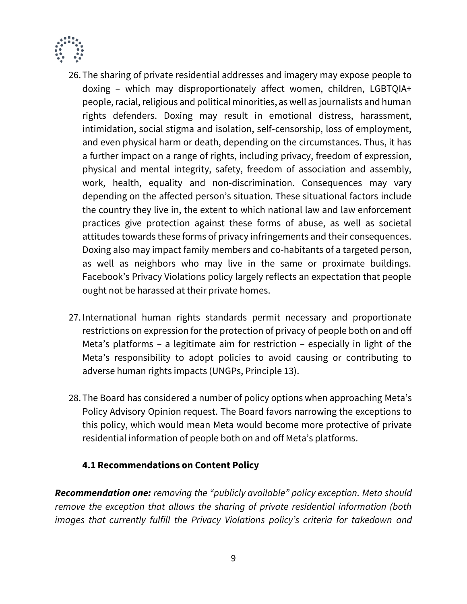

- 26. The sharing of private residential addresses and imagery may expose people to doxing – which may disproportionately affect women, children, LGBTQIA+ people, racial, religious and political minorities, as well as journalists and human rights defenders. Doxing may result in emotional distress, harassment, intimidation, social stigma and isolation, self-censorship, loss of employment, and even physical harm or death, depending on the circumstances. Thus, it has a further impact on a range of rights, including privacy, freedom of expression, physical and mental integrity, safety, freedom of association and assembly, work, health, equality and non-discrimination. Consequences may vary depending on the affected person's situation. These situational factors include the country they live in, the extent to which national law and law enforcement practices give protection against these forms of abuse, as well as societal attitudes towards these forms of privacy infringements and their consequences. Doxing also may impact family members and co-habitants of a targeted person, as well as neighbors who may live in the same or proximate buildings. Facebook's Privacy Violations policy largely reflects an expectation that people ought not be harassed at their private homes.
- 27. International human rights standards permit necessary and proportionate restrictions on expression for the protection of privacy of people both on and off Meta's platforms – a legitimate aim for restriction – especially in light of the Meta's responsibility to adopt policies to avoid causing or contributing to adverse human rights impacts (UNGPs, Principle 13).
- 28. The Board has considered a number of policy options when approaching Meta's Policy Advisory Opinion request. The Board favors narrowing the exceptions to this policy, which would mean Meta would become more protective of private residential information of people both on and off Meta's platforms.

## **4.1 Recommendations on Content Policy**

*Recommendation one: removing the "publicly available" policy exception. Meta should remove the exception that allows the sharing of private residential information (both images that currently fulfill the Privacy Violations policy's criteria for takedown and*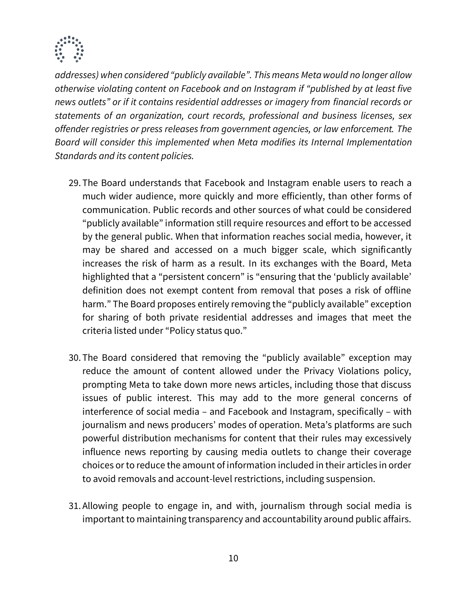

*addresses) when considered "publicly available". This means Meta would no longer allow otherwise violating content on Facebook and on Instagram if "published by at least five news outlets" or if it contains residential addresses or imagery from financial records or statements of an organization, court records, professional and business licenses, sex offender registries or press releases from government agencies, or law enforcement. The Board will consider this implemented when Meta modifies its Internal Implementation Standards and its content policies.*

- 29. The Board understands that Facebook and Instagram enable users to reach a much wider audience, more quickly and more efficiently, than other forms of communication. Public records and other sources of what could be considered "publicly available" information still require resources and effort to be accessed by the general public. When that information reaches social media, however, it may be shared and accessed on a much bigger scale, which significantly increases the risk of harm as a result. In its exchanges with the Board, Meta highlighted that a "persistent concern" is "ensuring that the 'publicly available' definition does not exempt content from removal that poses a risk of offline harm." The Board proposes entirely removing the "publicly available" exception for sharing of both private residential addresses and images that meet the criteria listed under "Policy status quo."
- 30. The Board considered that removing the "publicly available" exception may reduce the amount of content allowed under the Privacy Violations policy, prompting Meta to take down more news articles, including those that discuss issues of public interest. This may add to the more general concerns of interference of social media – and Facebook and Instagram, specifically – with journalism and news producers' modes of operation. Meta's platforms are such powerful distribution mechanisms for content that their rules may excessively influence news reporting by causing media outlets to change their coverage choices or to reduce the amount of information included in their articles in order to avoid removals and account-level restrictions, including suspension.
- 31.Allowing people to engage in, and with, journalism through social media is important to maintaining transparency and accountability around public affairs.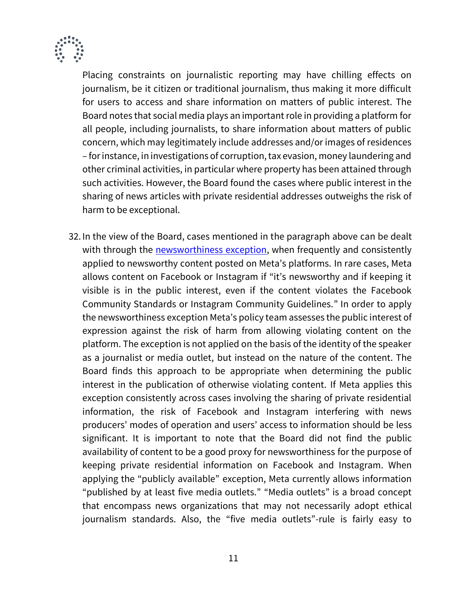

Placing constraints on journalistic reporting may have chilling effects on journalism, be it citizen or traditional journalism, thus making it more difficult for users to access and share information on matters of public interest. The Board notes that social media plays an important role in providing a platform for all people, including journalists, to share information about matters of public concern, which may legitimately include addresses and/or images of residences – for instance, in investigations of corruption, tax evasion, money laundering and other criminal activities, in particular where property has been attained through such activities. However, the Board found the cases where public interest in the sharing of news articles with private residential addresses outweighs the risk of harm to be exceptional.

32. In the view of the Board, cases mentioned in the paragraph above can be dealt with through the **newsworthiness exception**, when frequently and consistently applied to newsworthy content posted on Meta's platforms. In rare cases, Meta allows content on Facebook or Instagram if "it's newsworthy and if keeping it visible is in the public interest, even if the content violates the Facebook Community Standards or Instagram Community Guidelines." In order to apply the newsworthiness exception Meta's policy team assesses the public interest of expression against the risk of harm from allowing violating content on the platform. The exception is not applied on the basis of the identity of the speaker as a journalist or media outlet, but instead on the nature of the content. The Board finds this approach to be appropriate when determining the public interest in the publication of otherwise violating content. If Meta applies this exception consistently across cases involving the sharing of private residential information, the risk of Facebook and Instagram interfering with news producers' modes of operation and users' access to information should be less significant. It is important to note that the Board did not find the public availability of content to be a good proxy for newsworthiness for the purpose of keeping private residential information on Facebook and Instagram. When applying the "publicly available" exception, Meta currently allows information "published by at least five media outlets." "Media outlets" is a broad concept that encompass news organizations that may not necessarily adopt ethical journalism standards. Also, the "five media outlets"-rule is fairly easy to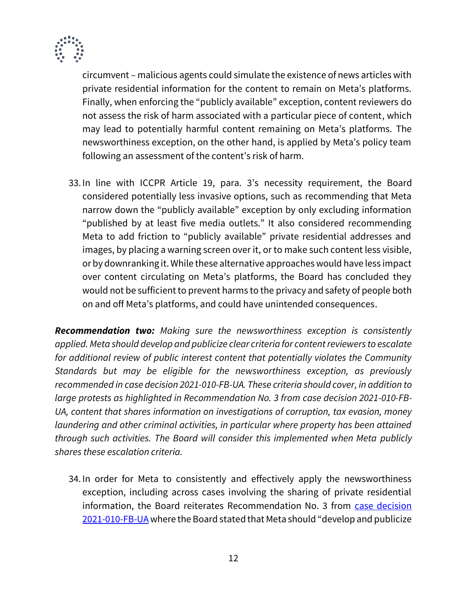

circumvent – malicious agents could simulate the existence of news articles with private residential information for the content to remain on Meta's platforms. Finally, when enforcing the "publicly available" exception, content reviewers do not assess the risk of harm associated with a particular piece of content, which may lead to potentially harmful content remaining on Meta's platforms. The newsworthiness exception, on the other hand, is applied by Meta's policy team following an assessment of the content's risk of harm.

33. In line with ICCPR Article 19, para. 3's necessity requirement, the Board considered potentially less invasive options, such as recommending that Meta narrow down the "publicly available" exception by only excluding information "published by at least five media outlets." It also considered recommending Meta to add friction to "publicly available" private residential addresses and images, by placing a warning screen over it, or to make such content less visible, or by downranking it. While these alternative approaches would have less impact over content circulating on Meta's platforms, the Board has concluded they would not be sufficient to prevent harms to the privacy and safety of people both on and off Meta's platforms, and could have unintended consequences.

*Recommendation two: Making sure the newsworthiness exception is consistently applied. Meta should develop and publicize clear criteria for content reviewers to escalate for additional review of public interest content that potentially violates the Community Standards but may be eligible for the newsworthiness exception, as previously recommended in case decision 2021-010-FB-UA. These criteria should cover, in addition to large protests as highlighted in Recommendation No. 3 from case decision 2021-010-FB-UA, content that shares information on investigations of corruption, tax evasion, money laundering and other criminal activities, in particular where property has been attained through such activities. The Board will consider this implemented when Meta publicly shares these escalation criteria.*

34. In order for Meta to consistently and effectively apply the newsworthiness exception, including across cases involving the sharing of private residential information, the Board reiterates Recommendation No. 3 from case decision [2021-010-FB-UA](https://oversightboard.com/decision/FB-E5M6QZGA/) where the Board stated that Meta should "develop and publicize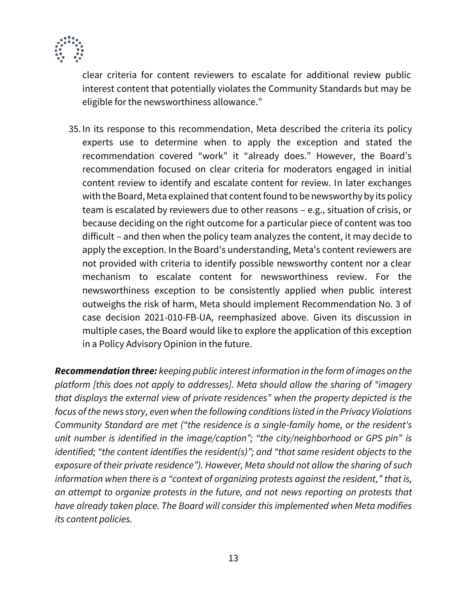

clear criteria for content reviewers to escalate for additional review public interest content that potentially violates the Community Standards but may be eligible for the newsworthiness allowance."

35. In its response to this recommendation, Meta described the criteria its policy experts use to determine when to apply the exception and stated the recommendation covered "work" it "already does." However, the Board's recommendation focused on clear criteria for moderators engaged in initial content review to identify and escalate content for review. In later exchanges with the Board, Meta explained that content found to be newsworthy by its policy team is escalated by reviewers due to other reasons – e.g., situation of crisis, or because deciding on the right outcome for a particular piece of content was too difficult – and then when the policy team analyzes the content, it may decide to apply the exception. In the Board's understanding, Meta's content reviewers are not provided with criteria to identify possible newsworthy content nor a clear mechanism to escalate content for newsworthiness review. For the newsworthiness exception to be consistently applied when public interest outweighs the risk of harm, Meta should implement Recommendation No. 3 of case decision 2021-010-FB-UA, reemphasized above. Given its discussion in multiple cases, the Board would like to explore the application of this exception in a Policy Advisory Opinion in the future.

*Recommendation three: keeping public interest information in the form of images on the platform [this does not apply to addresses]. Meta should allow the sharing of "imagery that displays the external view of private residences" when the property depicted is the focus of the news story, even when the following conditions listed in the Privacy Violations Community Standard are met ("the residence is a single-family home, or the resident's unit number is identified in the image/caption"; "the city/neighborhood or GPS pin" is identified; "the content identifies the resident(s)"; and "that same resident objects to the exposure of their private residence"). However, Meta should not allow the sharing of such information when there is a "context of organizing protests against the resident," that is, an attempt to organize protests in the future, and not news reporting on protests that have already taken place. The Board will consider this implemented when Meta modifies its content policies.*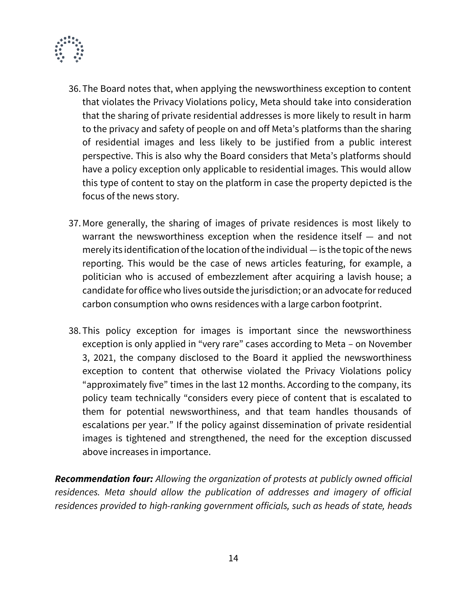

- 36. The Board notes that, when applying the newsworthiness exception to content that violates the Privacy Violations policy, Meta should take into consideration that the sharing of private residential addresses is more likely to result in harm to the privacy and safety of people on and off Meta's platforms than the sharing of residential images and less likely to be justified from a public interest perspective. This is also why the Board considers that Meta's platforms should have a policy exception only applicable to residential images. This would allow this type of content to stay on the platform in case the property depicted is the focus of the news story.
- 37.More generally, the sharing of images of private residences is most likely to warrant the newsworthiness exception when the residence itself — and not merely its identification of the location of the individual — is the topic of the news reporting. This would be the case of news articles featuring, for example, a politician who is accused of embezzlement after acquiring a lavish house; a candidate for office who lives outside the jurisdiction; or an advocate for reduced carbon consumption who owns residences with a large carbon footprint.
- 38. This policy exception for images is important since the newsworthiness exception is only applied in "very rare" cases according to Meta – on November 3, 2021, the company disclosed to the Board it applied the newsworthiness exception to content that otherwise violated the Privacy Violations policy "approximately five" times in the last 12 months. According to the company, its policy team technically "considers every piece of content that is escalated to them for potential newsworthiness, and that team handles thousands of escalations per year." If the policy against dissemination of private residential images is tightened and strengthened, the need for the exception discussed above increases in importance.

*Recommendation four: Allowing the organization of protests at publicly owned official residences. Meta should allow the publication of addresses and imagery of official residences provided to high-ranking government officials, such as heads of state, heads*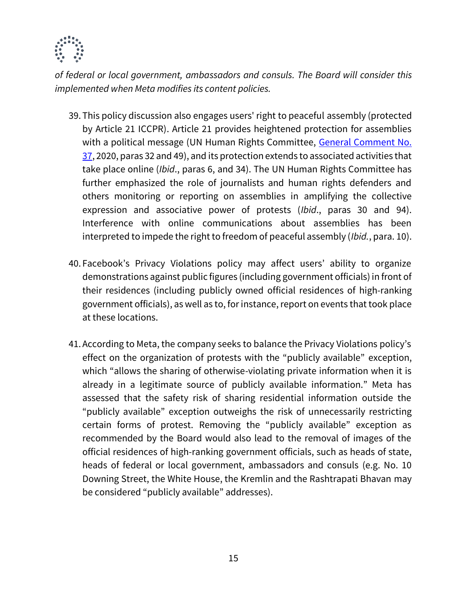

*of federal or local government, ambassadors and consuls. The Board will consider this implemented when Meta modifies its content policies.*

- 39. This policy discussion also engages users' right to peaceful assembly (protected by Article 21 ICCPR). Article 21 provides heightened protection for assemblies with a political message (UN Human Rights Committee, General Comment No. [37,](https://undocs.org/CCPR/C/GC/37) 2020, paras 32 and 49), and its protection extends to associated activities that take place online (*Ibid*., paras 6, and 34). The UN Human Rights Committee has further emphasized the role of journalists and human rights defenders and others monitoring or reporting on assemblies in amplifying the collective expression and associative power of protests (*Ibid*., paras 30 and 94). Interference with online communications about assemblies has been interpreted to impede the right to freedom of peaceful assembly (*Ibid.*, para. 10).
- 40. Facebook's Privacy Violations policy may affect users' ability to organize demonstrations against public figures (including government officials) in front of their residences (including publicly owned official residences of high-ranking government officials), as well as to, for instance, report on events that took place at these locations.
- 41.According to Meta, the company seeks to balance the Privacy Violations policy's effect on the organization of protests with the "publicly available" exception, which "allows the sharing of otherwise-violating private information when it is already in a legitimate source of publicly available information." Meta has assessed that the safety risk of sharing residential information outside the "publicly available" exception outweighs the risk of unnecessarily restricting certain forms of protest. Removing the "publicly available" exception as recommended by the Board would also lead to the removal of images of the official residences of high-ranking government officials, such as heads of state, heads of federal or local government, ambassadors and consuls (e.g. No. 10 Downing Street, the White House, the Kremlin and the Rashtrapati Bhavan may be considered "publicly available" addresses).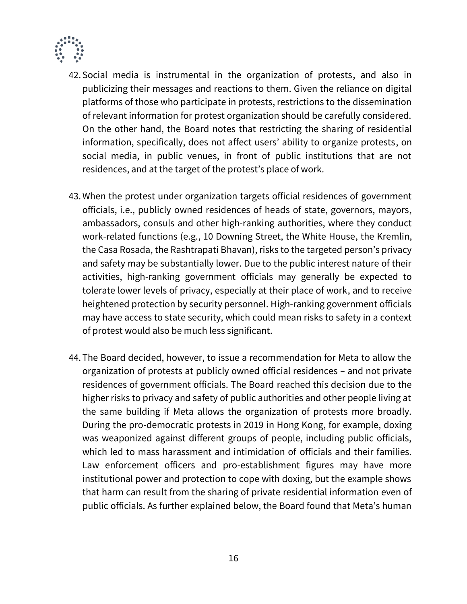

- 42. Social media is instrumental in the organization of protests, and also in publicizing their messages and reactions to them. Given the reliance on digital platforms of those who participate in protests, restrictions to the dissemination of relevant information for protest organization should be carefully considered. On the other hand, the Board notes that restricting the sharing of residential information, specifically, does not affect users' ability to organize protests, on social media, in public venues, in front of public institutions that are not residences, and at the target of the protest's place of work.
- 43.When the protest under organization targets official residences of government officials, i.e., publicly owned residences of heads of state, governors, mayors, ambassadors, consuls and other high-ranking authorities, where they conduct work-related functions (e.g., 10 Downing Street, the White House, the Kremlin, the Casa Rosada, the Rashtrapati Bhavan), risks to the targeted person's privacy and safety may be substantially lower. Due to the public interest nature of their activities, high-ranking government officials may generally be expected to tolerate lower levels of privacy, especially at their place of work, and to receive heightened protection by security personnel. High-ranking government officials may have access to state security, which could mean risks to safety in a context of protest would also be much less significant.
- 44. The Board decided, however, to issue a recommendation for Meta to allow the organization of protests at publicly owned official residences – and not private residences of government officials. The Board reached this decision due to the higher risks to privacy and safety of public authorities and other people living at the same building if Meta allows the organization of protests more broadly. During the pro-democratic protests in 2019 in Hong Kong, for example, doxing was weaponized against different groups of people, including public officials, which led to mass harassment and intimidation of officials and their families. Law enforcement officers and pro-establishment figures may have more institutional power and protection to cope with doxing, but the example shows that harm can result from the sharing of private residential information even of public officials. As further explained below, the Board found that Meta's human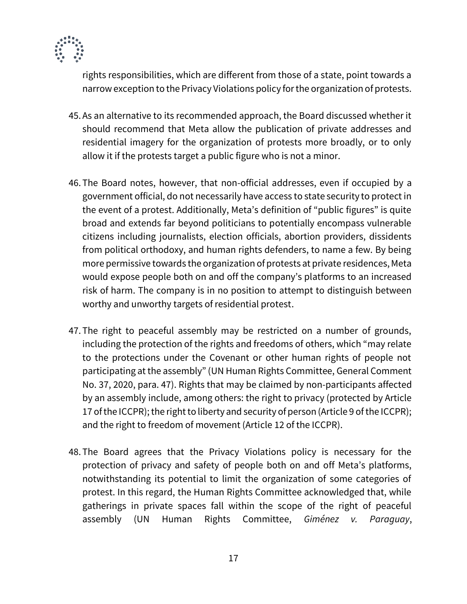

rights responsibilities, which are different from those of a state, point towards a narrow exception to the Privacy Violations policy for the organization of protests.

- 45.As an alternative to its recommended approach, the Board discussed whether it should recommend that Meta allow the publication of private addresses and residential imagery for the organization of protests more broadly, or to only allow it if the protests target a public figure who is not a minor.
- 46. The Board notes, however, that non-official addresses, even if occupied by a government official, do not necessarily have access to state security to protect in the event of a protest. Additionally, Meta's definition of "public figures" is quite broad and extends far beyond politicians to potentially encompass vulnerable citizens including journalists, election officials, abortion providers, dissidents from political orthodoxy, and human rights defenders, to name a few. By being more permissive towards the organization of protests at private residences, Meta would expose people both on and off the company's platforms to an increased risk of harm. The company is in no position to attempt to distinguish between worthy and unworthy targets of residential protest.
- 47. The right to peaceful assembly may be restricted on a number of grounds, including the protection of the rights and freedoms of others, which "may relate to the protections under the Covenant or other human rights of people not participating at the assembly" (UN Human Rights Committee, General Comment No. 37, 2020, para. 47). Rights that may be claimed by non-participants affected by an assembly include, among others: the right to privacy (protected by Article 17 of the ICCPR); the right to liberty and security of person (Article 9 of the ICCPR); and the right to freedom of movement (Article 12 of the ICCPR).
- 48. The Board agrees that the Privacy Violations policy is necessary for the protection of privacy and safety of people both on and off Meta's platforms, notwithstanding its potential to limit the organization of some categories of protest. In this regard, the Human Rights Committee acknowledged that, while gatherings in private spaces fall within the scope of the right of peaceful assembly (UN Human Rights Committee, *Giménez v. Paraguay*,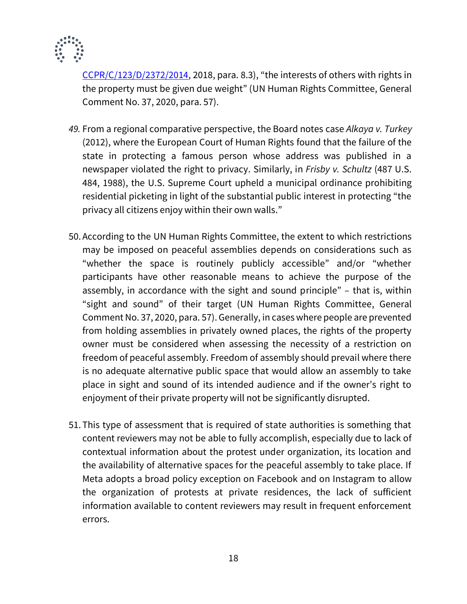

[CCPR/C/123/D/2372/2014,](https://undocs.org/en/CCPR/C/123/D/2372/2014) 2018, para. 8.3), "the interests of others with rights in the property must be given due weight" (UN Human Rights Committee, General Comment No. 37, 2020, para. 57).

- *49.* From a regional comparative perspective, the Board notes case *Alkaya v. Turkey* (2012), where the European Court of Human Rights found that the failure of the state in protecting a famous person whose address was published in a newspaper violated the right to privacy. Similarly, in *Frisby v. Schultz* (487 U.S. 484, 1988), the U.S. Supreme Court upheld a municipal ordinance prohibiting residential picketing in light of the substantial public interest in protecting "the privacy all citizens enjoy within their own walls."
- 50.According to the UN Human Rights Committee, the extent to which restrictions may be imposed on peaceful assemblies depends on considerations such as "whether the space is routinely publicly accessible" and/or "whether participants have other reasonable means to achieve the purpose of the assembly, in accordance with the sight and sound principle" – that is, within "sight and sound" of their target (UN Human Rights Committee, General Comment No. 37, 2020, para. 57). Generally, in cases where people are prevented from holding assemblies in privately owned places, the rights of the property owner must be considered when assessing the necessity of a restriction on freedom of peaceful assembly. Freedom of assembly should prevail where there is no adequate alternative public space that would allow an assembly to take place in sight and sound of its intended audience and if the owner's right to enjoyment of their private property will not be significantly disrupted.
- 51. This type of assessment that is required of state authorities is something that content reviewers may not be able to fully accomplish, especially due to lack of contextual information about the protest under organization, its location and the availability of alternative spaces for the peaceful assembly to take place. If Meta adopts a broad policy exception on Facebook and on Instagram to allow the organization of protests at private residences, the lack of sufficient information available to content reviewers may result in frequent enforcement errors.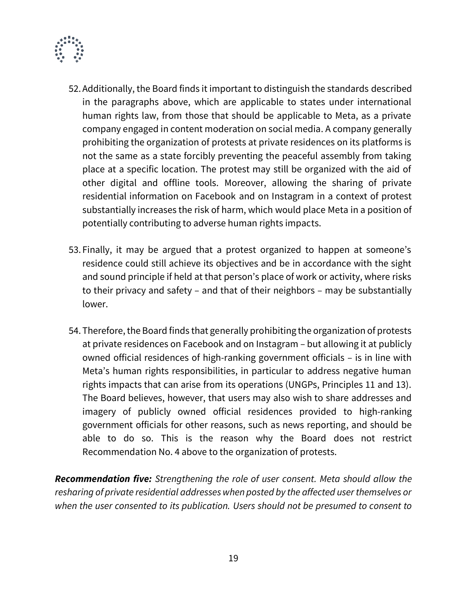

- 52.Additionally, the Board finds it important to distinguish the standards described in the paragraphs above, which are applicable to states under international human rights law, from those that should be applicable to Meta, as a private company engaged in content moderation on social media. A company generally prohibiting the organization of protests at private residences on its platforms is not the same as a state forcibly preventing the peaceful assembly from taking place at a specific location. The protest may still be organized with the aid of other digital and offline tools. Moreover, allowing the sharing of private residential information on Facebook and on Instagram in a context of protest substantially increases the risk of harm, which would place Meta in a position of potentially contributing to adverse human rights impacts.
- 53. Finally, it may be argued that a protest organized to happen at someone's residence could still achieve its objectives and be in accordance with the sight and sound principle if held at that person's place of work or activity, where risks to their privacy and safety – and that of their neighbors – may be substantially lower.
- 54. Therefore, the Board finds that generally prohibiting the organization of protests at private residences on Facebook and on Instagram – but allowing it at publicly owned official residences of high-ranking government officials – is in line with Meta's human rights responsibilities, in particular to address negative human rights impacts that can arise from its operations (UNGPs, Principles 11 and 13). The Board believes, however, that users may also wish to share addresses and imagery of publicly owned official residences provided to high-ranking government officials for other reasons, such as news reporting, and should be able to do so. This is the reason why the Board does not restrict Recommendation No. 4 above to the organization of protests.

*Recommendation five: Strengthening the role of user consent. Meta should allow the resharing of private residential addresses when posted by the affected user themselves or when the user consented to its publication. Users should not be presumed to consent to*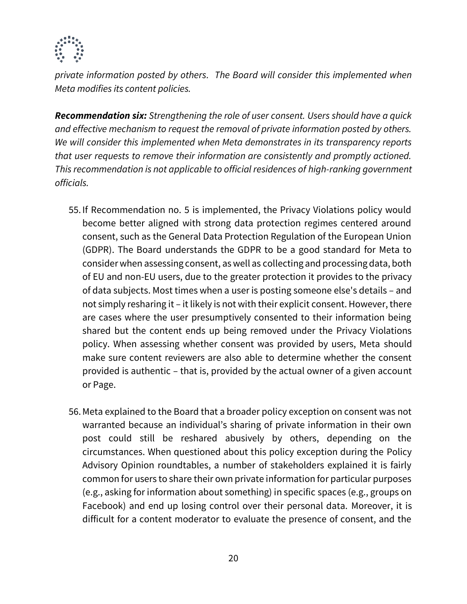

*private information posted by others. The Board will consider this implemented when Meta modifies its content policies.*

*Recommendation six: Strengthening the role of user consent. Users should have a quick and effective mechanism to request the removal of private information posted by others. We will consider this implemented when Meta demonstrates in its transparency reports that user requests to remove their information are consistently and promptly actioned. This recommendation is not applicable to official residences of high-ranking government officials.*

- 55. If Recommendation no. 5 is implemented, the Privacy Violations policy would become better aligned with strong data protection regimes centered around consent, such as the General Data Protection Regulation of the European Union (GDPR). The Board understands the GDPR to be a good standard for Meta to consider when assessing consent, as well as collecting and processing data, both of EU and non-EU users, due to the greater protection it provides to the privacy of data subjects. Most times when a user is posting someone else's details – and not simply resharing it – it likely is not with their explicit consent. However, there are cases where the user presumptively consented to their information being shared but the content ends up being removed under the Privacy Violations policy. When assessing whether consent was provided by users, Meta should make sure content reviewers are also able to determine whether the consent provided is authentic – that is, provided by the actual owner of a given account or Page.
- 56.Meta explained to the Board that a broader policy exception on consent was not warranted because an individual's sharing of private information in their own post could still be reshared abusively by others, depending on the circumstances. When questioned about this policy exception during the Policy Advisory Opinion roundtables, a number of stakeholders explained it is fairly common for users to share their own private information for particular purposes (e.g., asking for information about something) in specific spaces (e.g., groups on Facebook) and end up losing control over their personal data. Moreover, it is difficult for a content moderator to evaluate the presence of consent, and the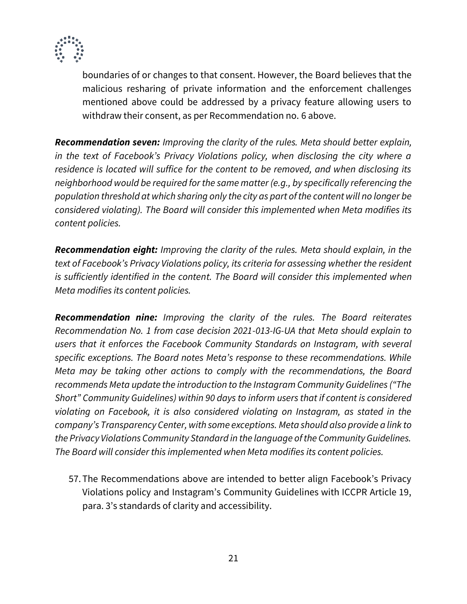

boundaries of or changes to that consent. However, the Board believes that the malicious resharing of private information and the enforcement challenges mentioned above could be addressed by a privacy feature allowing users to withdraw their consent, as per Recommendation no. 6 above.

*Recommendation seven: Improving the clarity of the rules. Meta should better explain, in the text of Facebook's Privacy Violations policy, when disclosing the city where a residence is located will suffice for the content to be removed, and when disclosing its neighborhood would be required for the same matter (e.g., by specifically referencing the population threshold at which sharing only the city as part of the content will no longer be considered violating). The Board will consider this implemented when Meta modifies its content policies.*

*Recommendation eight: Improving the clarity of the rules. Meta should explain, in the text of Facebook's Privacy Violations policy, its criteria for assessing whether the resident is sufficiently identified in the content. The Board will consider this implemented when Meta modifies its content policies.*

*Recommendation nine: Improving the clarity of the rules. The Board reiterates Recommendation No. 1 from case decision 2021-013-IG-UA that Meta should explain to users that it enforces the Facebook Community Standards on Instagram, with several specific exceptions. The Board notes Meta's response to these recommendations. While Meta may be taking other actions to comply with the recommendations, the Board recommends Meta update the introduction to the Instagram Community Guidelines ("The Short" Community Guidelines) within 90 days to inform users that if content is considered violating on Facebook, it is also considered violating on Instagram, as stated in the company's Transparency Center, with some exceptions. Meta should also provide a link to the Privacy Violations Community Standard in the language of the Community Guidelines. The Board will consider this implemented when Meta modifies its content policies.*

57. The Recommendations above are intended to better align Facebook's Privacy Violations policy and Instagram's Community Guidelines with ICCPR Article 19, para. 3's standards of clarity and accessibility.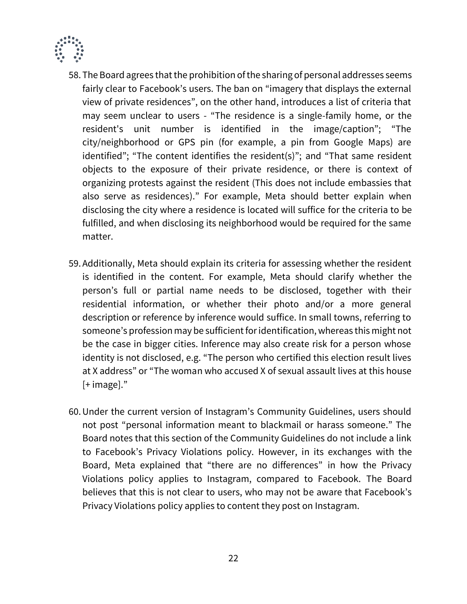

- 58. The Board agrees that the prohibition of the sharing of personal addresses seems fairly clear to Facebook's users. The ban on "imagery that displays the external view of private residences", on the other hand, introduces a list of criteria that may seem unclear to users - "The residence is a single-family home, or the resident's unit number is identified in the image/caption"; "The city/neighborhood or GPS pin (for example, a pin from Google Maps) are identified"; "The content identifies the resident(s)"; and "That same resident objects to the exposure of their private residence, or there is context of organizing protests against the resident (This does not include embassies that also serve as residences)." For example, Meta should better explain when disclosing the city where a residence is located will suffice for the criteria to be fulfilled, and when disclosing its neighborhood would be required for the same matter.
- 59.Additionally, Meta should explain its criteria for assessing whether the resident is identified in the content. For example, Meta should clarify whether the person's full or partial name needs to be disclosed, together with their residential information, or whether their photo and/or a more general description or reference by inference would suffice. In small towns, referring to someone's profession may be sufficient for identification, whereas this might not be the case in bigger cities. Inference may also create risk for a person whose identity is not disclosed, e.g. "The person who certified this election result lives at X address" or "The woman who accused X of sexual assault lives at this house [+ image]."
- 60.Under the current version of Instagram's Community Guidelines, users should not post "personal information meant to blackmail or harass someone." The Board notes that this section of the Community Guidelines do not include a link to Facebook's Privacy Violations policy. However, in its exchanges with the Board, Meta explained that "there are no differences" in how the Privacy Violations policy applies to Instagram, compared to Facebook. The Board believes that this is not clear to users, who may not be aware that Facebook's Privacy Violations policy applies to content they post on Instagram.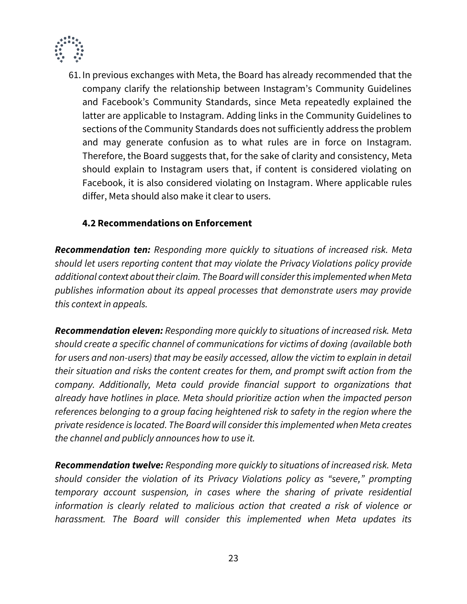

61. In previous exchanges with Meta, the Board has already recommended that the company clarify the relationship between Instagram's Community Guidelines and Facebook's Community Standards, since Meta repeatedly explained the latter are applicable to Instagram. Adding links in the Community Guidelines to sections of the Community Standards does not sufficiently address the problem and may generate confusion as to what rules are in force on Instagram. Therefore, the Board suggests that, for the sake of clarity and consistency, Meta should explain to Instagram users that, if content is considered violating on Facebook, it is also considered violating on Instagram. Where applicable rules differ, Meta should also make it clear to users.

## **4.2 Recommendations on Enforcement**

*Recommendation ten: Responding more quickly to situations of increased risk. Meta should let users reporting content that may violate the Privacy Violations policy provide additional context about their claim. The Board will consider this implemented when Meta publishes information about its appeal processes that demonstrate users may provide this context in appeals.*

*Recommendation eleven: Responding more quickly to situations of increased risk. Meta should create a specific channel of communications for victims of doxing (available both for users and non-users) that may be easily accessed, allow the victim to explain in detail their situation and risks the content creates for them, and prompt swift action from the company. Additionally, Meta could provide financial support to organizations that already have hotlines in place. Meta should prioritize action when the impacted person references belonging to a group facing heightened risk to safety in the region where the private residence is located. The Board will consider this implemented when Meta creates the channel and publicly announces how to use it.* 

*Recommendation twelve: Responding more quickly to situations of increased risk. Meta should consider the violation of its Privacy Violations policy as "severe," prompting temporary account suspension, in cases where the sharing of private residential information is clearly related to malicious action that created a risk of violence or harassment. The Board will consider this implemented when Meta updates its*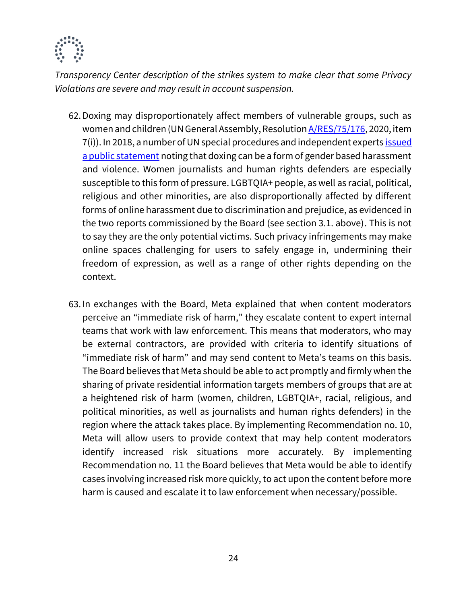

*Transparency Center description of the strikes system to make clear that some Privacy Violations are severe and may result in account suspension.*

- 62.Doxing may disproportionately affect members of vulnerable groups, such as women and children (UN General Assembly, Resolution **A/RES/75/176**, 2020, item 7(i)). In 2018, a number of UN special procedures and independent expert[s issued](https://www.ohchr.org/EN/NewsEvents/Pages/DisplayNews.aspx?NewsID=23921)  [a public statement](https://www.ohchr.org/EN/NewsEvents/Pages/DisplayNews.aspx?NewsID=23921) noting that doxing can be a form of gender based harassment and violence. Women journalists and human rights defenders are especially susceptible to this form of pressure. LGBTQIA+ people, as well as racial, political, religious and other minorities, are also disproportionally affected by different forms of online harassment due to discrimination and prejudice, as evidenced in the two reports commissioned by the Board (see section 3.1. above). This is not to say they are the only potential victims. Such privacy infringements may make online spaces challenging for users to safely engage in, undermining their freedom of expression, as well as a range of other rights depending on the context.
- 63. In exchanges with the Board, Meta explained that when content moderators perceive an "immediate risk of harm," they escalate content to expert internal teams that work with law enforcement. This means that moderators, who may be external contractors, are provided with criteria to identify situations of "immediate risk of harm" and may send content to Meta's teams on this basis. The Board believes that Meta should be able to act promptly and firmly when the sharing of private residential information targets members of groups that are at a heightened risk of harm (women, children, LGBTQIA+, racial, religious, and political minorities, as well as journalists and human rights defenders) in the region where the attack takes place. By implementing Recommendation no. 10, Meta will allow users to provide context that may help content moderators identify increased risk situations more accurately. By implementing Recommendation no. 11 the Board believes that Meta would be able to identify cases involving increased risk more quickly, to act upon the content before more harm is caused and escalate it to law enforcement when necessary/possible.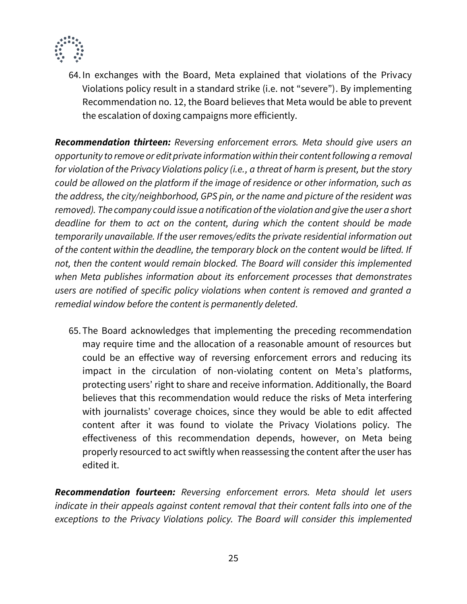

64. In exchanges with the Board, Meta explained that violations of the Privacy Violations policy result in a standard strike (i.e. not "severe"). By implementing Recommendation no. 12, the Board believes that Meta would be able to prevent the escalation of doxing campaigns more efficiently.

*Recommendation thirteen: Reversing enforcement errors. Meta should give users an opportunity to remove or edit private information within their content following a removal for violation of the Privacy Violations policy (i.e., a threat of harm is present, but the story could be allowed on the platform if the image of residence or other information, such as the address, the city/neighborhood, GPS pin, or the name and picture of the resident was removed). The company could issue a notification of the violation and give the user a short deadline for them to act on the content, during which the content should be made temporarily unavailable. If the user removes/edits the private residential information out of the content within the deadline, the temporary block on the content would be lifted. If not, then the content would remain blocked. The Board will consider this implemented when Meta publishes information about its enforcement processes that demonstrates users are notified of specific policy violations when content is removed and granted a remedial window before the content is permanently deleted.*

65. The Board acknowledges that implementing the preceding recommendation may require time and the allocation of a reasonable amount of resources but could be an effective way of reversing enforcement errors and reducing its impact in the circulation of non-violating content on Meta's platforms, protecting users' right to share and receive information. Additionally, the Board believes that this recommendation would reduce the risks of Meta interfering with journalists' coverage choices, since they would be able to edit affected content after it was found to violate the Privacy Violations policy. The effectiveness of this recommendation depends, however, on Meta being properly resourced to act swiftly when reassessing the content after the user has edited it.

*Recommendation fourteen: Reversing enforcement errors. Meta should let users indicate in their appeals against content removal that their content falls into one of the exceptions to the Privacy Violations policy. The Board will consider this implemented*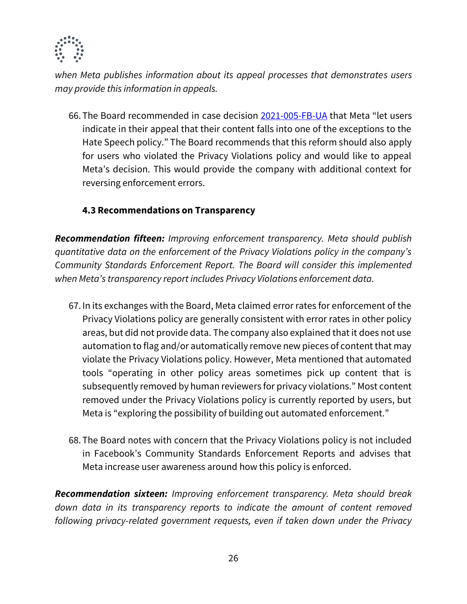

*when Meta publishes information about its appeal processes that demonstrates users may provide this information in appeals.*

66. The Board recommended in case decision [2021-005-FB-UA](https://oversightboard.com/decision/FB-RZL57QHJ/) that Meta "let users indicate in their appeal that their content falls into one of the exceptions to the Hate Speech policy." The Board recommends that this reform should also apply for users who violated the Privacy Violations policy and would like to appeal Meta's decision. This would provide the company with additional context for reversing enforcement errors.

## **4.3 Recommendations on Transparency**

*Recommendation fifteen: Improving enforcement transparency. Meta should publish quantitative data on the enforcement of the Privacy Violations policy in the company's Community Standards Enforcement Report. The Board will consider this implemented when Meta's transparency report includes Privacy Violations enforcement data.*

- 67. In its exchanges with the Board, Meta claimed error rates for enforcement of the Privacy Violations policy are generally consistent with error rates in other policy areas, but did not provide data. The company also explained that it does not use automation to flag and/or automatically remove new pieces of content that may violate the Privacy Violations policy. However, Meta mentioned that automated tools "operating in other policy areas sometimes pick up content that is subsequently removed by human reviewers for privacy violations." Most content removed under the Privacy Violations policy is currently reported by users, but Meta is "exploring the possibility of building out automated enforcement."
- 68. The Board notes with concern that the Privacy Violations policy is not included in Facebook's Community Standards Enforcement Reports and advises that Meta increase user awareness around how this policy is enforced.

*Recommendation sixteen: Improving enforcement transparency. Meta should break down data in its transparency reports to indicate the amount of content removed following privacy-related government requests, even if taken down under the Privacy*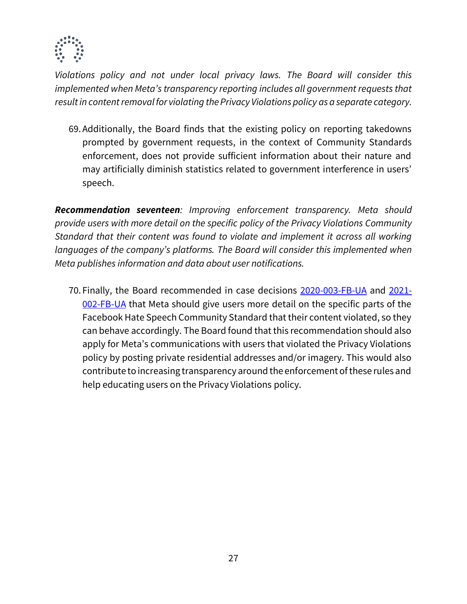

*Violations policy and not under local privacy laws. The Board will consider this implemented when Meta's transparency reporting includes all government requests that result in content removal for violating the Privacy Violations policy as a separate category.* 

69.Additionally, the Board finds that the existing policy on reporting takedowns prompted by government requests, in the context of Community Standards enforcement, does not provide sufficient information about their nature and may artificially diminish statistics related to government interference in users' speech.

*Recommendation seventeen: Improving enforcement transparency. Meta should provide users with more detail on the specific policy of the Privacy Violations Community Standard that their content was found to violate and implement it across all working languages of the company's platforms. The Board will consider this implemented when Meta publishes information and data about user notifications.*

70. Finally, the Board recommended in case decisions [2020-003-FB-UA](https://oversightboard.com/decision/FB-QBJDASCV/) and [2021-](https://oversightboard.com/decision/FB-S6NRTDAJ/) [002-FB-UA](https://oversightboard.com/decision/FB-S6NRTDAJ/) that Meta should give users more detail on the specific parts of the Facebook Hate Speech Community Standard that their content violated, so they can behave accordingly. The Board found that this recommendation should also apply for Meta's communications with users that violated the Privacy Violations policy by posting private residential addresses and/or imagery. This would also contribute to increasing transparency around the enforcement of these rules and help educating users on the Privacy Violations policy.